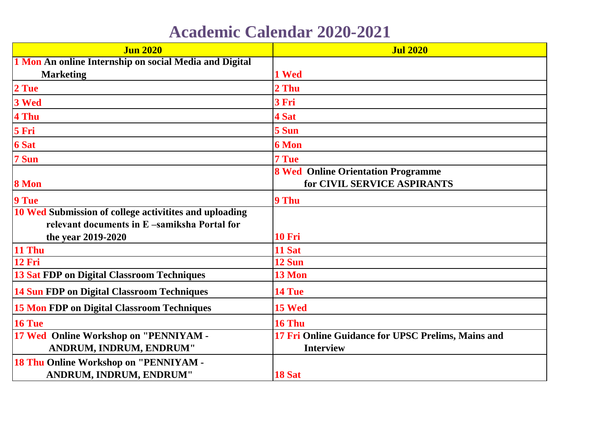## **Academic Calendar 2020-2021**

| <b>Jun 2020</b>                                        | <b>Jul 2020</b>                                                          |
|--------------------------------------------------------|--------------------------------------------------------------------------|
| 1 Mon An online Internship on social Media and Digital |                                                                          |
| <b>Marketing</b>                                       | 1 Wed                                                                    |
| 2 Tue                                                  | 2 Thu                                                                    |
| 3 Wed                                                  | 3 Fri                                                                    |
| 4 Thu                                                  | 4 Sat                                                                    |
| 5 Fri                                                  | 5 Sun                                                                    |
| <b>6 Sat</b>                                           | <b>6 Mon</b>                                                             |
| 7 Sun                                                  | 7 Tue                                                                    |
| 8 Mon                                                  | <b>8 Wed Online Orientation Programme</b><br>for CIVIL SERVICE ASPIRANTS |
| 9 Tue                                                  | 9 Thu                                                                    |
| 10 Wed Submission of college activitites and uploading |                                                                          |
| relevant documents in E-samiksha Portal for            |                                                                          |
| the year 2019-2020                                     | <b>10 Fri</b>                                                            |
| <b>11 Thu</b>                                          | 11 Sat                                                                   |
| <b>12 Fri</b>                                          | 12 Sun                                                                   |
| <b>13 Sat FDP on Digital Classroom Techniques</b>      | 13 Mon                                                                   |
| 14 Sun FDP on Digital Classroom Techniques             | 14 Tue                                                                   |
| <b>15 Mon FDP on Digital Classroom Techniques</b>      | 15 Wed                                                                   |
| 16 Tue                                                 | 16 Thu                                                                   |
| 17 Wed Online Workshop on "PENNIYAM -                  | 17 Fri Online Guidance for UPSC Prelims, Mains and                       |
| ANDRUM, INDRUM, ENDRUM"                                | <b>Interview</b>                                                         |
| 18 Thu Online Workshop on "PENNIYAM -                  |                                                                          |
| ANDRUM, INDRUM, ENDRUM"                                | 18 Sat                                                                   |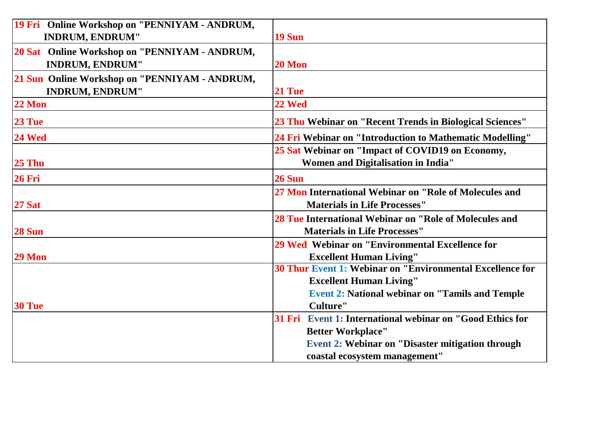| 19 Fri Online Workshop on "PENNIYAM - ANDRUM,<br><b>INDRUM, ENDRUM"</b> | <b>19 Sun</b>                                                                                                                                                |
|-------------------------------------------------------------------------|--------------------------------------------------------------------------------------------------------------------------------------------------------------|
| 20 Sat Online Workshop on "PENNIYAM - ANDRUM,<br><b>INDRUM, ENDRUM"</b> | 20 Mon                                                                                                                                                       |
| 21 Sun Online Workshop on "PENNIYAM - ANDRUM,<br><b>INDRUM, ENDRUM"</b> | 21 Tue                                                                                                                                                       |
| <b>22 Mon</b>                                                           | 22 Wed                                                                                                                                                       |
| 23 Tue                                                                  | 23 Thu Webinar on "Recent Trends in Biological Sciences"                                                                                                     |
| 24 Wed                                                                  | 24 Fri Webinar on "Introduction to Mathematic Modelling"                                                                                                     |
| 25 Thu                                                                  | 25 Sat Webinar on "Impact of COVID19 on Economy,<br>Women and Digitalisation in India"                                                                       |
| <b>26 Fri</b>                                                           | <b>26 Sun</b>                                                                                                                                                |
| <b>27 Sat</b>                                                           | 27 Mon International Webinar on "Role of Molecules and<br><b>Materials in Life Processes"</b>                                                                |
| 28 Sun                                                                  | 28 Tue International Webinar on "Role of Molecules and<br><b>Materials in Life Processes"</b>                                                                |
| 29 Mon                                                                  | 29 Wed Webinar on "Environmental Excellence for<br><b>Excellent Human Living"</b>                                                                            |
|                                                                         | <b>30 Thur Event 1: Webinar on "Environmental Excellence for</b><br><b>Excellent Human Living"</b><br><b>Event 2: National webinar on "Tamils and Temple</b> |
| 30 Tue                                                                  | Culture"                                                                                                                                                     |
|                                                                         | 31 Fri Event 1: International webinar on "Good Ethics for                                                                                                    |
|                                                                         | <b>Better Workplace"</b>                                                                                                                                     |
|                                                                         | Event 2: Webinar on "Disaster mitigation through<br>coastal ecosystem management"                                                                            |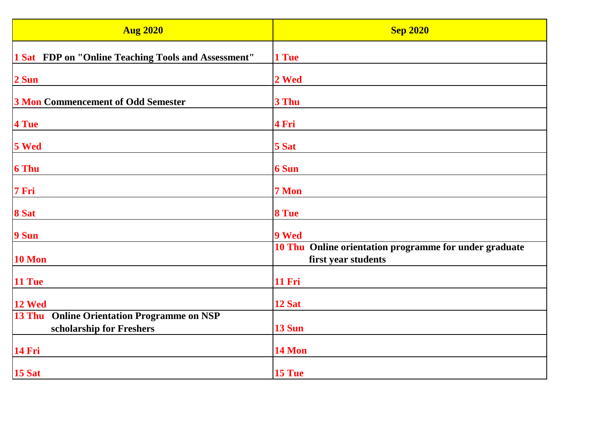| <b>Aug 2020</b>                                                                         | <b>Sep 2020</b>                                                               |
|-----------------------------------------------------------------------------------------|-------------------------------------------------------------------------------|
| 1 Sat FDP on "Online Teaching Tools and Assessment"                                     | 1 Tue                                                                         |
| 2 Sun                                                                                   | 2 Wed                                                                         |
| <b>3 Mon Commencement of Odd Semester</b>                                               | 3 Thu                                                                         |
| 4 Tue                                                                                   | 4 Fri                                                                         |
| 5 Wed                                                                                   | 5 Sat                                                                         |
| <b>6 Thu</b>                                                                            | <b>6 Sun</b>                                                                  |
| 7 Fri                                                                                   | 7 Mon                                                                         |
| 8 Sat                                                                                   | 8 Tue                                                                         |
| 9 Sun                                                                                   | 9 Wed                                                                         |
| 10 Mon                                                                                  | 10 Thu Online orientation programme for under graduate<br>first year students |
| 11 Tue                                                                                  | <b>11 Fri</b>                                                                 |
| 12 Wed                                                                                  | 12 Sat                                                                        |
| <b>13 Thu</b><br><b>Online Orientation Programme on NSP</b><br>scholarship for Freshers | <b>13 Sun</b>                                                                 |
| <b>14 Fri</b>                                                                           | 14 Mon                                                                        |
| <b>15 Sat</b>                                                                           | 15 Tue                                                                        |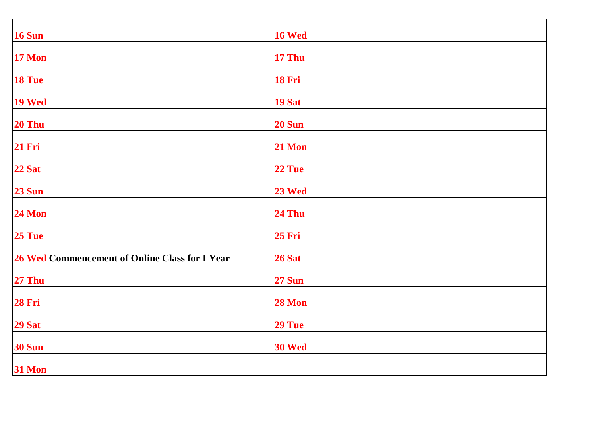| <b>16 Sun</b>                                  | <b>16 Wed</b> |
|------------------------------------------------|---------------|
| <b>17 Mon</b>                                  | <b>17 Thu</b> |
| 18 Tue                                         | <b>18 Fri</b> |
| 19 Wed                                         | <b>19 Sat</b> |
| 20 Thu                                         | <b>20 Sun</b> |
| <b>21 Fri</b>                                  | <b>21 Mon</b> |
| 22 Sat                                         | 22 Tue        |
| <b>23 Sun</b>                                  | 23 Wed        |
| <b>24 Mon</b>                                  | <b>24 Thu</b> |
| 25 Tue                                         | <b>25 Fri</b> |
|                                                |               |
| 26 Wed Commencement of Online Class for I Year | <b>26 Sat</b> |
| <b>27 Thu</b>                                  | <b>27 Sun</b> |
| <b>28 Fri</b>                                  | <b>28 Mon</b> |
| <b>29 Sat</b>                                  | 29 Tue        |
| <b>30 Sun</b>                                  | <b>30 Wed</b> |
| <b>31 Mon</b>                                  |               |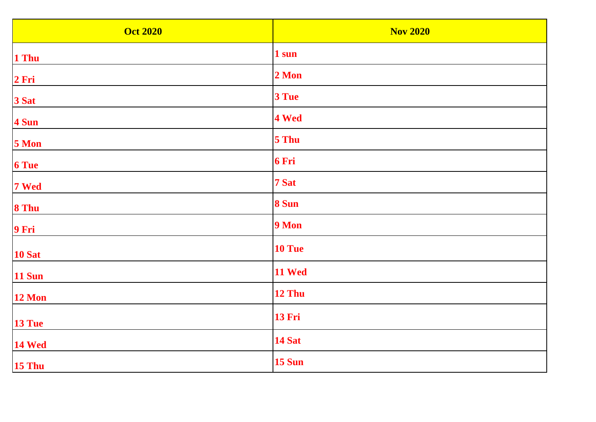| <b>Oct 2020</b> | <b>Nov 2020</b> |
|-----------------|-----------------|
| 1 Thu           | 1 sun           |
| 2 Fri           | 2 Mon           |
| 3 Sat           | 3 Tue           |
| 4 Sun           | 4 Wed           |
| 5 Mon           | 5 Thu           |
| <b>6 Tue</b>    | 6 Fri           |
| 7 Wed           | 7 Sat           |
| 8 Thu           | 8 Sun           |
| 9 Fri           | 9 Mon           |
| <b>10 Sat</b>   | 10 Tue          |
| <b>11 Sun</b>   | 11 Wed          |
| <b>12 Mon</b>   | 12 Thu          |
| 13 Tue          | <b>13 Fri</b>   |
| <b>14 Wed</b>   | <b>14 Sat</b>   |
| <b>15 Thu</b>   | <b>15 Sun</b>   |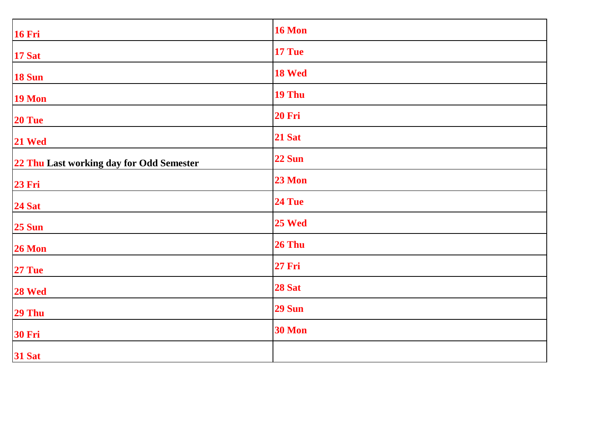| <b>16 Fri</b>                            | <b>16 Mon</b> |
|------------------------------------------|---------------|
| <b>17 Sat</b>                            | 17 Tue        |
| <b>18 Sun</b>                            | 18 Wed        |
| <b>19 Mon</b>                            | 19 Thu        |
| 20 Tue                                   | <b>20 Fri</b> |
| 21 Wed                                   | <b>21 Sat</b> |
| 22 Thu Last working day for Odd Semester | <b>22 Sun</b> |
| <b>23 Fri</b>                            | <b>23 Mon</b> |
| <b>24 Sat</b>                            | 24 Tue        |
| <b>25 Sun</b>                            | 25 Wed        |
| 26 Mon                                   | <b>26 Thu</b> |
| 27 Tue                                   | <b>27 Fri</b> |
| 28 Wed                                   | <b>28 Sat</b> |
| 29 Thu                                   | <b>29 Sun</b> |
| <b>30 Fri</b>                            | <b>30 Mon</b> |
| <b>31 Sat</b>                            |               |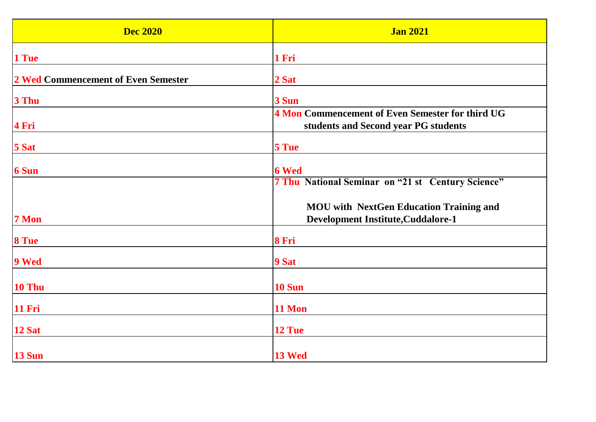| <b>Dec 2020</b>                     | <b>Jan 2021</b>                                                                             |
|-------------------------------------|---------------------------------------------------------------------------------------------|
| 1 Tue                               | 1 Fri                                                                                       |
| 2 Wed Commencement of Even Semester | 2 Sat                                                                                       |
| 3 Thu                               | 3 Sun                                                                                       |
| 4 Fri                               | 4 Mon Commencement of Even Semester for third UG<br>students and Second year PG students    |
| 5 Sat                               | 5 Tue                                                                                       |
| <b>6 Sun</b>                        | <b>6 Wed</b><br><b>7 Thu National Seminar on "21 st Century Science"</b>                    |
| 7 Mon                               | <b>MOU</b> with NextGen Education Training and<br><b>Development Institute, Cuddalore-1</b> |
| 8 Tue                               | 8 Fri                                                                                       |
| 9 Wed                               | 9 Sat                                                                                       |
| 10 Thu                              | <b>10 Sun</b>                                                                               |
| <b>11 Fri</b>                       | 11 Mon                                                                                      |
| 12 Sat                              | 12 Tue                                                                                      |
| <b>13 Sun</b>                       | 13 Wed                                                                                      |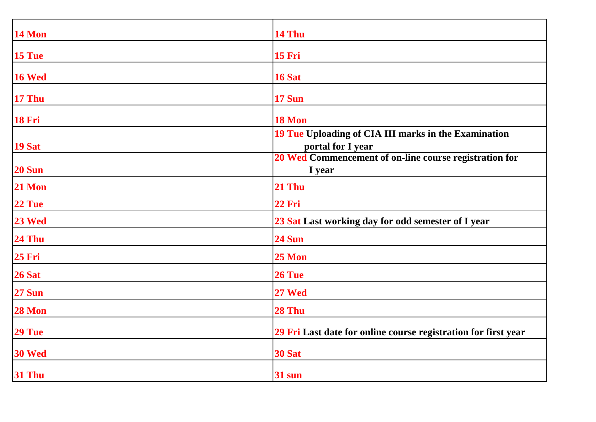| 14 Mon        | 14 Thu                                                                    |
|---------------|---------------------------------------------------------------------------|
| 15 Tue        | <b>15 Fri</b>                                                             |
| 16 Wed        | 16 Sat                                                                    |
| <b>17 Thu</b> | <b>17 Sun</b>                                                             |
| <b>18 Fri</b> | 18 Mon                                                                    |
| <b>19 Sat</b> | 19 Tue Uploading of CIA III marks in the Examination<br>portal for I year |
| <b>20 Sun</b> | 20 Wed Commencement of on-line course registration for<br>I year          |
| 21 Mon        | 21 Thu                                                                    |
| 22 Tue        | <b>22 Fri</b>                                                             |
| 23 Wed        | 23 Sat Last working day for odd semester of I year                        |
| <b>24 Thu</b> | <b>24 Sun</b>                                                             |
| <b>25 Fri</b> | $25$ Mon                                                                  |
| 26 Sat        | 26 Tue                                                                    |
| <b>27 Sun</b> | 27 Wed                                                                    |
| 28 Mon        | 28 Thu                                                                    |
| 29 Tue        | 29 Fri Last date for online course registration for first year            |
| 30 Wed        | <b>30 Sat</b>                                                             |
| <b>31 Thu</b> | 31 sun                                                                    |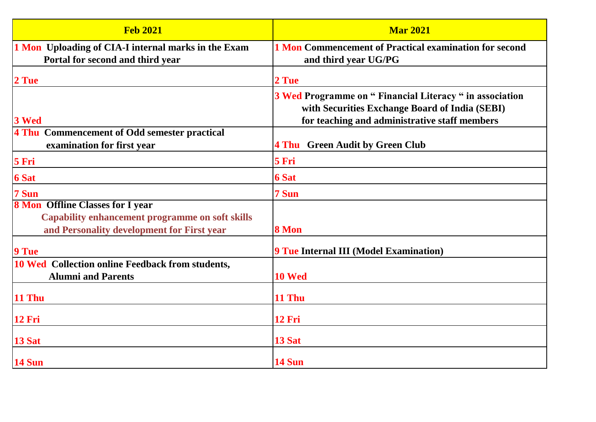| <b>Feb 2021</b>                                                                                      | <b>Mar 2021</b>                                                                                            |
|------------------------------------------------------------------------------------------------------|------------------------------------------------------------------------------------------------------------|
| 1 Mon Uploading of CIA-I internal marks in the Exam                                                  | <b>1 Mon Commencement of Practical examination for second</b>                                              |
| Portal for second and third year                                                                     | and third year UG/PG                                                                                       |
| 2 Tue                                                                                                | 2 Tue                                                                                                      |
|                                                                                                      | 3 Wed Programme on " Financial Literacy " in association<br>with Securities Exchange Board of India (SEBI) |
| 3 Wed                                                                                                | for teaching and administrative staff members                                                              |
| 4 Thu Commencement of Odd semester practical<br>examination for first year                           | 4 Thu Green Audit by Green Club                                                                            |
| 5 Fri                                                                                                | 5 Fri                                                                                                      |
| <b>6 Sat</b>                                                                                         | <b>6 Sat</b>                                                                                               |
| 7 Sun                                                                                                | 7 Sun                                                                                                      |
| <b>8 Mon Offline Classes for I year</b>                                                              |                                                                                                            |
| <b>Capability enhancement programme on soft skills</b><br>and Personality development for First year | 8 Mon                                                                                                      |
|                                                                                                      |                                                                                                            |
| 9 Tue                                                                                                | <b>9 Tue Internal III (Model Examination)</b>                                                              |
| <b>10 Wed</b> Collection online Feedback from students,<br><b>Alumni and Parents</b>                 | 10 Wed                                                                                                     |
| 11 Thu                                                                                               | 11 Thu                                                                                                     |
| <b>12 Fri</b>                                                                                        | <b>12 Fri</b>                                                                                              |
| 13 Sat                                                                                               | 13 Sat                                                                                                     |
| <b>14 Sun</b>                                                                                        | <b>14 Sun</b>                                                                                              |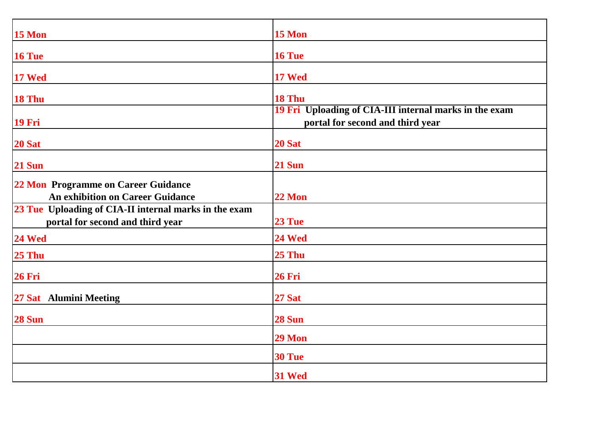| <b>15 Mon</b>                                                                             | 15 Mon                                                                                     |
|-------------------------------------------------------------------------------------------|--------------------------------------------------------------------------------------------|
| 16 Tue                                                                                    | 16 Tue                                                                                     |
| 17 Wed                                                                                    | <b>17 Wed</b>                                                                              |
| 18 Thu                                                                                    | 18 Thu                                                                                     |
| <b>19 Fri</b>                                                                             | 19 Fri Uploading of CIA-III internal marks in the exam<br>portal for second and third year |
| <b>20 Sat</b>                                                                             | 20 Sat                                                                                     |
| <b>21 Sun</b>                                                                             | <b>21 Sun</b>                                                                              |
| 22 Mon Programme on Career Guidance<br><b>An exhibition on Career Guidance</b>            | <b>22 Mon</b>                                                                              |
| 23 Tue Uploading of CIA-II internal marks in the exam<br>portal for second and third year | 23 Tue                                                                                     |
| <b>24 Wed</b>                                                                             | 24 Wed                                                                                     |
| <b>25 Thu</b>                                                                             | 25 Thu                                                                                     |
| <b>26 Fri</b>                                                                             | 26 Fri                                                                                     |
| 27 Sat Alumini Meeting                                                                    | <b>27 Sat</b>                                                                              |
| <b>28 Sun</b>                                                                             | 28 Sun                                                                                     |
|                                                                                           | 29 Mon                                                                                     |
|                                                                                           | 30 Tue                                                                                     |
|                                                                                           | 31 Wed                                                                                     |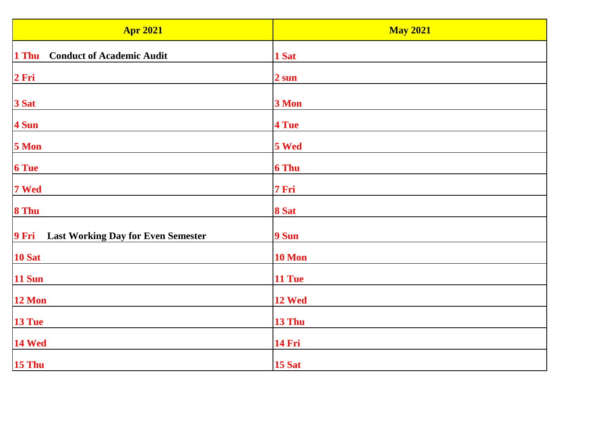| <b>Apr 2021</b>                                    | <b>May 2021</b> |
|----------------------------------------------------|-----------------|
| <b>Conduct of Academic Audit</b><br>1 Thu          | 1 Sat           |
| 2 Fri                                              | 2 sun           |
| 3 Sat                                              | 3 Mon           |
| 4 Sun                                              | 4 Tue           |
| 5 Mon                                              | 5 Wed           |
| <b>6 Tue</b>                                       | <b>6 Thu</b>    |
| 7 Wed                                              | 7 Fri           |
| 8 Thu                                              | 8 Sat           |
| 9 Fri<br><b>Last Working Day for Even Semester</b> | 9 Sun           |
| <b>10 Sat</b>                                      | 10 Mon          |
| <b>11 Sun</b>                                      | 11 Tue          |
| <b>12 Mon</b>                                      | 12 Wed          |
| 13 Tue                                             | 13 Thu          |
| <b>14 Wed</b>                                      | <b>14 Fri</b>   |
| 15 Thu                                             | 15 Sat          |